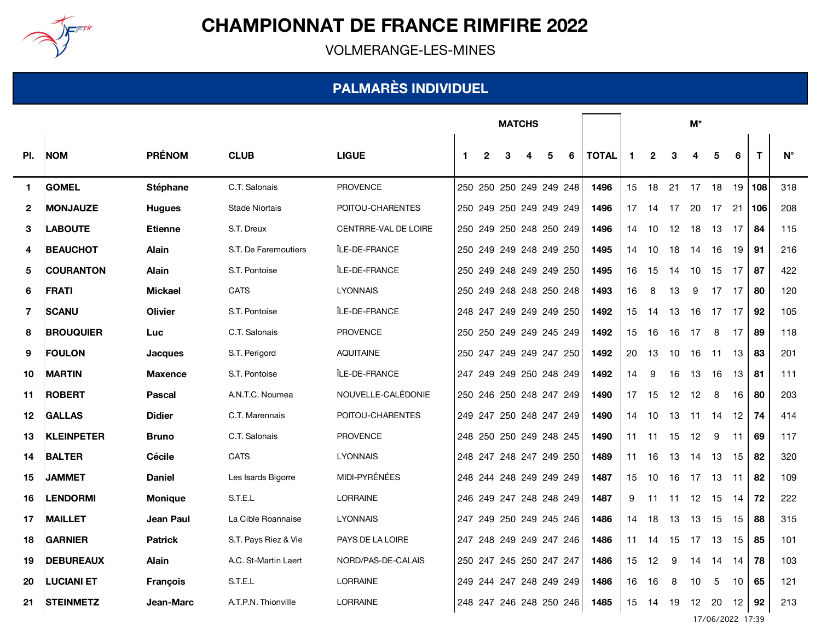

VOLMERANGE-LES-MINES

#### **PALMARÈS INDIVIDUEL**

|                  |                   |                 |                       |                      | <b>MATCHS</b> |   |   |                         |   |   |              | M*                   |              |     |    |     |                 |     |             |
|------------------|-------------------|-----------------|-----------------------|----------------------|---------------|---|---|-------------------------|---|---|--------------|----------------------|--------------|-----|----|-----|-----------------|-----|-------------|
| PI.              | <b>NOM</b>        | <b>PRÉNOM</b>   | <b>CLUB</b>           | <b>LIGUE</b>         | $\mathbf 1$   | 2 | 3 |                         | 5 | 6 | <b>TOTAL</b> | $\blacktriangleleft$ | $\mathbf{2}$ | 3   | 4  | 5   | 6               | T   | $N^{\circ}$ |
| $\mathbf{1}$     | <b>GOMEL</b>      | Stéphane        | C.T. Salonais         | <b>PROVENCE</b>      |               |   |   | 250 250 250 249 249 248 |   |   | 1496         | 15                   | 18           | 21  | 17 | 18  | 19 I            | 108 | 318         |
| $\boldsymbol{2}$ | <b>MONJAUZE</b>   | <b>Hugues</b>   | <b>Stade Niortais</b> | POITOU-CHARENTES     |               |   |   | 250 249 250 249 249 249 |   |   | 1496         | 17                   | 14           | 17  | 20 | 17  | 21              | 106 | 208         |
| 3                | <b>LABOUTE</b>    | <b>Etienne</b>  | S.T. Dreux            | CENTRRE-VAL DE LOIRE |               |   |   | 250 249 250 248 250 249 |   |   | 1496         | 14                   | 10           | 12  | 18 | 13  | 17              | 84  | 115         |
| 4                | <b>BEAUCHOT</b>   | <b>Alain</b>    | S.T. De Faremoutiers  | ÎLE-DE-FRANCE        | 250           |   |   | 249 249 248 249 250     |   |   | 1495         | 14                   | 10           | 18  | 14 | 16  | 19              | 91  | 216         |
| 5                | <b>COURANTON</b>  | <b>Alain</b>    | S.T. Pontoise         | ÎLE-DE-FRANCE        |               |   |   | 250 249 248 249 249 250 |   |   | 1495         | 16                   | 15           | 14  | 10 | 15  | 17              | 87  | 422         |
| 6                | <b>FRATI</b>      | <b>Mickael</b>  | <b>CATS</b>           | <b>LYONNAIS</b>      |               |   |   | 250 249 248 248 250 248 |   |   | 1493         | 16                   | 8            | 13  | 9  | 17  | 17              | 80  | 120         |
| 7                | <b>SCANU</b>      | <b>Olivier</b>  | S.T. Pontoise         | ÎLE-DE-FRANCE        |               |   |   | 248 247 249 249 249 250 |   |   | 1492         | 15                   | 14           | 13  | 16 | 17  | - 17            | 92  | 105         |
| 8                | <b>BROUQUIER</b>  | Luc             | C.T. Salonais         | <b>PROVENCE</b>      |               |   |   | 250 250 249 249 245 249 |   |   | 1492         | 15                   | 16           | 16  | 17 | 8   | 17              | 89  | 118         |
| 9                | <b>FOULON</b>     | <b>Jacques</b>  | S.T. Perigord         | <b>AQUITAINE</b>     |               |   |   | 250 247 249 249 247 250 |   |   | 1492         | 20                   | 13           | 10  | 16 | 11  | 13              | 83  | 201         |
| 10               | <b>MARTIN</b>     | <b>Maxence</b>  | S.T. Pontoise         | ÎLE-DE-FRANCE        |               |   |   | 247 249 249 250 248 249 |   |   | 1492         | 14                   | 9            | 16  | 13 | 16  | 13              | 81  | 111         |
| 11               | <b>ROBERT</b>     | <b>Pascal</b>   | A.N.T.C. Noumea       | NOUVELLE-CALÉDONIE   |               |   |   | 250 246 250 248 247 249 |   |   | 1490         | 17                   | 15           | 12  | 12 | 8   | 16              | 80  | 203         |
| $12 \,$          | <b>GALLAS</b>     | <b>Didier</b>   | C.T. Marennais        | POITOU-CHARENTES     |               |   |   | 249 247 250 248 247 249 |   |   | 1490         | 14                   | 10           | 13  | 11 | 14  | 12 <sup>2</sup> | 74  | 414         |
| 13               | <b>KLEINPETER</b> | <b>Bruno</b>    | C.T. Salonais         | <b>PROVENCE</b>      | 248           |   |   | 250 250 249 248 245     |   |   | 1490         | 11                   | 11           | 15  | 12 | 9   | 11              | 69  | 117         |
| 14               | <b>BALTER</b>     | <b>Cécile</b>   | <b>CATS</b>           | <b>LYONNAIS</b>      |               |   |   | 248 247 248 247 249 250 |   |   | 1489         | 11                   | 16           | 13  | 14 | 13  | 15              | 82  | 320         |
| 15               | <b>JAMMET</b>     | <b>Daniel</b>   | Les Isards Bigorre    | MIDI-PYRÉNÉES        |               |   |   | 248 244 248 249 249 249 |   |   | 1487         | 15                   | 10           | 16  | 17 | 13  | 11              | 82  | 109         |
| 16               | <b>LENDORMI</b>   | <b>Monique</b>  | S.T.E.L               | LORRAINE             |               |   |   | 246 249 247 248 248 249 |   |   | 1487         | 9                    | -11          | -11 | 12 | 15  | - 14            | 72  | 222         |
| 17               | <b>MAILLET</b>    | Jean Paul       | La Cible Roannaise    | <b>LYONNAIS</b>      |               |   |   | 247 249 250 249 245 246 |   |   | 1486         | 14                   | 18           | 13  | 13 | -15 | 15              | 88  | 315         |
| 18               | <b>GARNIER</b>    | <b>Patrick</b>  | S.T. Pays Riez & Vie  | PAYS DE LA LOIRE     |               |   |   | 247 248 249 249 247 246 |   |   | 1486         | 11                   | 14           | 15  | 17 | 13  | 15              | 85  | 101         |
| 19               | <b>DEBUREAUX</b>  | <b>Alain</b>    | A.C. St-Martin Laert  | NORD/PAS-DE-CALAIS   |               |   |   | 250 247 245 250 247 247 |   |   | 1486         | 15                   | 12           | 9   | 14 | 14  | 14              | 78  | 103         |
| 20               | <b>LUCIANI ET</b> | <b>François</b> | S.T.E.L               | LORRAINE             |               |   |   | 249 244 247 248 249 249 |   |   | 1486         | 16                   | 16           | 8   | 10 | 5   | 10              | 65  | 121         |
| 21               | <b>STEINMETZ</b>  | Jean-Marc       | A.T.P.N. Thionville   | <b>LORRAINE</b>      |               |   |   | 248 247 246 248 250 246 |   |   | 1485         | 15                   | 14           | 19  | 12 | 20  | 12 <sup>2</sup> | 92  | 213         |

17/06/2022 17:39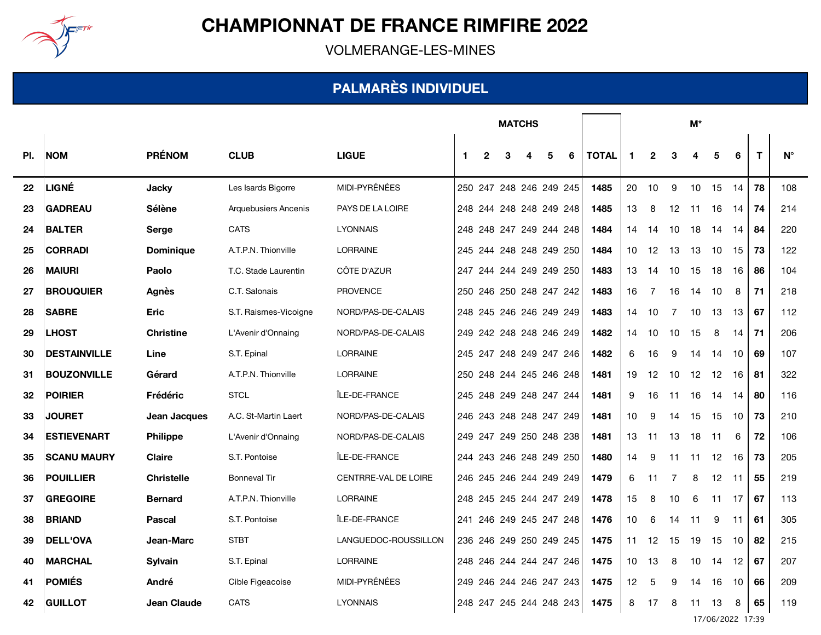

VOLMERANGE-LES-MINES

#### **PALMARÈS INDIVIDUEL**

|     |                     |                    |                             |                      | <b>MATCHS</b>           |              |   |                         |   |   |              | $M^*$                |              |                |     |     |    |    |             |
|-----|---------------------|--------------------|-----------------------------|----------------------|-------------------------|--------------|---|-------------------------|---|---|--------------|----------------------|--------------|----------------|-----|-----|----|----|-------------|
| PI. | <b>NOM</b>          | <b>PRÉNOM</b>      | <b>CLUB</b>                 | <b>LIGUE</b>         | $\mathbf 1$             | $\mathbf{2}$ | 3 |                         | 5 | 6 | <b>TOTAL</b> | $\blacktriangleleft$ | $\mathbf{2}$ | 3              | 4   | 5   | 6  | T  | $N^{\circ}$ |
| 22  | LIGNÉ               | <b>Jacky</b>       | Les Isards Bigorre          | MIDI-PYRÉNÉES        |                         |              |   | 250 247 248 246 249 245 |   |   | 1485         | 20                   | 10           | 9              | 10  | 15  | 14 | 78 | 108         |
| 23  | <b>GADREAU</b>      | Sélène             | <b>Arquebusiers Ancenis</b> | PAYS DE LA LOIRE     |                         |              |   | 248 244 248 248 249 248 |   |   | 1485         | 13                   | 8            | 12             | 11  | 16  | 14 | 74 | 214         |
| 24  | <b>BALTER</b>       | Serge              | <b>CATS</b>                 | <b>LYONNAIS</b>      |                         |              |   | 248 248 247 249 244 248 |   |   | 1484         | 14                   | -14          | 10             | 18  | -14 | 14 | 84 | 220         |
| 25  | <b>CORRADI</b>      | <b>Dominique</b>   | A.T.P.N. Thionville         | <b>LORRAINE</b>      |                         |              |   | 245 244 248 248 249 250 |   |   | 1484         | 10                   | 12           | 13             | 13  | 10  | 15 | 73 | 122         |
| 26  | <b>MAIURI</b>       | Paolo              | T.C. Stade Laurentin        | CÔTE D'AZUR          |                         |              |   | 247 244 244 249 249 250 |   |   | 1483         | 13                   | 14           | 10             | 15  | 18  | 16 | 86 | 104         |
| 27  | <b>BROUQUIER</b>    | <b>Agnès</b>       | C.T. Salonais               | <b>PROVENCE</b>      |                         |              |   | 250 246 250 248 247 242 |   |   | 1483         | 16                   | 7            | 16             | 14  | 10  | 8  | 71 | 218         |
| 28  | <b>SABRE</b>        | <b>Eric</b>        | S.T. Raismes-Vicoigne       | NORD/PAS-DE-CALAIS   |                         |              |   | 248 245 246 246 249 249 |   |   | 1483         | 14                   | 10           | 7              | 10  | 13  | 13 | 67 | 112         |
| 29  | <b>LHOST</b>        | <b>Christine</b>   | L'Avenir d'Onnaing          | NORD/PAS-DE-CALAIS   |                         |              |   | 249 242 248 248 246 249 |   |   | 1482         | 14                   | 10           | 10             | 15  | 8   | 14 | 71 | 206         |
| 30  | <b>DESTAINVILLE</b> | Line               | S.T. Epinal                 | <b>LORRAINE</b>      |                         |              |   | 245 247 248 249 247 246 |   |   | 1482         | 6                    | 16           | 9              | -14 | 14  | 10 | 69 | 107         |
| 31  | <b>BOUZONVILLE</b>  | Gérard             | A.T.P.N. Thionville         | <b>LORRAINE</b>      |                         |              |   | 250 248 244 245 246 248 |   |   | 1481         | 19                   | 12           | 10             | 12  | 12  | 16 | 81 | 322         |
| 32  | <b>POIRIER</b>      | Frédéric           | <b>STCL</b>                 | ÎLE-DE-FRANCE        |                         |              |   | 245 248 249 248 247 244 |   |   | 1481         | 9                    | 16           | 11             | 16  | 14  | 14 | 80 | 116         |
| 33  | <b>JOURET</b>       | Jean Jacques       | A.C. St-Martin Laert        | NORD/PAS-DE-CALAIS   |                         |              |   | 246 243 248 248 247 249 |   |   | 1481         | 10 <sup>°</sup>      | 9            | 14             | 15  | 15  | 10 | 73 | 210         |
| 34  | <b>ESTIEVENART</b>  | <b>Philippe</b>    | L'Avenir d'Onnaing          | NORD/PAS-DE-CALAIS   | 249                     |              |   | 247 249 250 248 238     |   |   | 1481         | 13                   | 11           | 13             | 18  | 11  | 6  | 72 | 106         |
| 35  | <b>SCANU MAURY</b>  | <b>Claire</b>      | S.T. Pontoise               | ÎLE-DE-FRANCE        |                         |              |   | 244 243 246 248 249 250 |   |   | 1480         | 14                   | 9            | 11             | 11  | 12  | 16 | 73 | 205         |
| 36  | <b>POUILLIER</b>    | <b>Christelle</b>  | <b>Bonneval Tir</b>         | CENTRRE-VAL DE LOIRE |                         |              |   | 246 245 246 244 249 249 |   |   | 1479         | 6                    | 11           | $\overline{7}$ | 8   | 12  | 11 | 55 | 219         |
| 37  | <b>GREGOIRE</b>     | <b>Bernard</b>     | A.T.P.N. Thionville         | <b>LORRAINE</b>      |                         |              |   | 248 245 245 244 247 249 |   |   | 1478         | 15                   | 8            | 10             | 6   | 11  | 17 | 67 | 113         |
| 38  | <b>BRIAND</b>       | Pascal             | S.T. Pontoise               | ÎLE-DE-FRANCE        |                         |              |   | 241 246 249 245 247 248 |   |   | 1476         | 10                   | 6            | 14             | 11  | 9   | 11 | 61 | 305         |
| 39  | <b>DELL'OVA</b>     | Jean-Marc          | <b>STBT</b>                 | LANGUEDOC-ROUSSILLON |                         |              |   | 236 246 249 250 249 245 |   |   | 1475         | 11                   | 12           | 15             | 19  | 15  | 10 | 82 | 215         |
| 40  | <b>MARCHAL</b>      | Sylvain            | S.T. Epinal                 | <b>LORRAINE</b>      |                         |              |   | 248 246 244 244 247 246 |   |   | 1475         | 10                   | 13           | 8              | 10  | 14  | 12 | 67 | 207         |
| 41  | <b>POMIÉS</b>       | André              | Cible Figeacoise            | MIDI-PYRÉNÉES        |                         |              |   | 249 246 244 246 247 243 |   |   | 1475         | 12                   | 5            | 9              | 14  | 16  | 10 | 66 | 209         |
| 42  | <b>GUILLOT</b>      | <b>Jean Claude</b> | <b>CATS</b>                 | <b>LYONNAIS</b>      | 248 247 245 244 248 243 |              |   |                         |   |   | 1475         | 8                    | 17           | 8              | 11  | 13  | 8  | 65 | 119         |

17/06/2022 17:39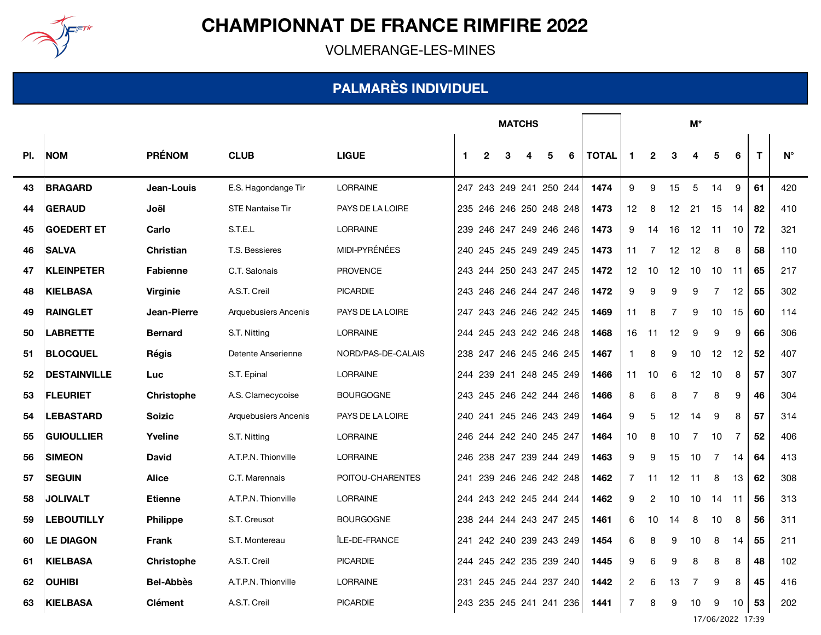

VOLMERANGE-LES-MINES

#### **PALMARÈS INDIVIDUEL**

|     |                     |                   |                         |                    | <b>MATCHS</b> |   |   |                         |   |   |              | M*             |                |                |                |     |                 |    |             |
|-----|---------------------|-------------------|-------------------------|--------------------|---------------|---|---|-------------------------|---|---|--------------|----------------|----------------|----------------|----------------|-----|-----------------|----|-------------|
| PI. | <b>NOM</b>          | <b>PRÉNOM</b>     | <b>CLUB</b>             | <b>LIGUE</b>       | -1            | 2 | 3 | 4                       | 5 | 6 | <b>TOTAL</b> | 1              | $\overline{2}$ | 3              | 4              | 5   | 6               | T  | $N^{\circ}$ |
| 43  | <b>BRAGARD</b>      | Jean-Louis        | E.S. Hagondange Tir     | <b>LORRAINE</b>    |               |   |   | 247 243 249 241 250 244 |   |   | 1474         | 9              | 9              | 15             | 5              | 14  | 9               | 61 | 420         |
| 44  | <b>GERAUD</b>       | Joël              | <b>STE Nantaise Tir</b> | PAYS DE LA LOIRE   |               |   |   | 235 246 246 250 248 248 |   |   | 1473         | 12             | 8              | 12             | 21             | 15  | -14             | 82 | 410         |
| 45  | <b>GOEDERT ET</b>   | Carlo             | S.T.E.L                 | <b>LORRAINE</b>    |               |   |   | 239 246 247 249 246 246 |   |   | 1473         | 9              | 14             | 16             | 12             | 11  | 10              | 72 | 321         |
| 46  | <b>SALVA</b>        | <b>Christian</b>  | T.S. Bessieres          | MIDI-PYRÉNÉES      |               |   |   | 240 245 245 249 249 245 |   |   | 1473         | 11             | 7              | 12             | 12             | 8   | 8               | 58 | 110         |
| 47  | <b>KLEINPETER</b>   | <b>Fabienne</b>   | C.T. Salonais           | <b>PROVENCE</b>    |               |   |   | 243 244 250 243 247 245 |   |   | 1472         | 12             | 10             | -12            | 10             | 10  | -11             | 65 | 217         |
| 48  | <b>KIELBASA</b>     | Virginie          | A.S.T. Creil            | <b>PICARDIE</b>    |               |   |   | 243 246 246 244 247 246 |   |   | 1472         | 9              | 9              | 9              | 9              | 7   | 12              | 55 | 302         |
| 49  | <b>RAINGLET</b>     | Jean-Pierre       | Arquebusiers Ancenis    | PAYS DE LA LOIRE   |               |   |   | 247 243 246 246 242 245 |   |   | 1469         | 11             | 8              | $\overline{7}$ | 9              | 10  | 15              | 60 | 114         |
| 50  | <b>LABRETTE</b>     | <b>Bernard</b>    | S.T. Nitting            | <b>LORRAINE</b>    |               |   |   | 244 245 243 242 246 248 |   |   | 1468         | 16             | 11             | 12             | 9              | 9   | 9               | 66 | 306         |
| 51  | <b>BLOCQUEL</b>     | Régis             | Detente Anserienne      | NORD/PAS-DE-CALAIS |               |   |   | 238 247 246 245 246 245 |   |   | 1467         | 1.             | 8              | 9              | 10             | 12  | 12              | 52 | 407         |
| 52  | <b>DESTAINVILLE</b> | Luc               | S.T. Epinal             | <b>LORRAINE</b>    |               |   |   | 244 239 241 248 245 249 |   |   | 1466         | 11             | 10             | 6              | 12             | 10  | 8               | 57 | 307         |
| 53  | <b>FLEURIET</b>     | <b>Christophe</b> | A.S. Clamecycoise       | <b>BOURGOGNE</b>   |               |   |   | 243 245 246 242 244 246 |   |   | 1466         | 8              | 6              | 8              | $\overline{7}$ | 8   | 9               | 46 | 304         |
| 54  | <b>LEBASTARD</b>    | <b>Soizic</b>     | Arquebusiers Ancenis    | PAYS DE LA LOIRE   |               |   |   | 240 241 245 246 243 249 |   |   | 1464         | 9              | 5              | 12             | -14            | 9   | 8               | 57 | 314         |
| 55  | <b>GUIOULLIER</b>   | Yveline           | S.T. Nitting            | <b>LORRAINE</b>    |               |   |   | 246 244 242 240 245 247 |   |   | 1464         | 10             | 8              | 10             | $\overline{7}$ | 10  | 7               | 52 | 406         |
| 56  | <b>SIMEON</b>       | <b>David</b>      | A.T.P.N. Thionville     | LORRAINE           |               |   |   | 246 238 247 239 244 249 |   |   | 1463         | 9              | 9              | 15             | 10             | 7   | 14              | 64 | 413         |
| 57  | <b>SEGUIN</b>       | <b>Alice</b>      | C.T. Marennais          | POITOU-CHARENTES   |               |   |   | 241 239 246 246 242 248 |   |   | 1462         | $\overline{7}$ | 11             | 12             | 11             | 8   | 13              | 62 | 308         |
| 58  | <b>JOLIVALT</b>     | <b>Etienne</b>    | A.T.P.N. Thionville     | <b>LORRAINE</b>    |               |   |   | 244 243 242 245 244 244 |   |   | 1462         | 9              | 2              | 10             | 10             | -14 | -11             | 56 | 313         |
| 59  | <b>LEBOUTILLY</b>   | <b>Philippe</b>   | S.T. Creusot            | <b>BOURGOGNE</b>   |               |   |   | 238 244 244 243 247 245 |   |   | 1461         | 6              | 10             | 14             | 8              | 10  | 8               | 56 | 311         |
| 60  | <b>LE DIAGON</b>    | Frank             | S.T. Montereau          | ÎLE-DE-FRANCE      |               |   |   | 241 242 240 239 243 249 |   |   | 1454         | 6              | 8              | 9              | 10             | 8   | 14              | 55 | 211         |
| 61  | <b>KIELBASA</b>     | <b>Christophe</b> | A.S.T. Creil            | <b>PICARDIE</b>    |               |   |   | 244 245 242 235 239 240 |   |   | 1445         | 9              | 6              | 9              | 8              | 8   | 8               | 48 | 102         |
| 62  | <b>OUHIBI</b>       | <b>Bel-Abbès</b>  | A.T.P.N. Thionville     | LORRAINE           |               |   |   | 231 245 245 244 237 240 |   |   | 1442         | 2              | 6              | 13             | $\overline{7}$ | 9   | 8               | 45 | 416         |
| 63  | <b>KIELBASA</b>     | <b>Clément</b>    | A.S.T. Creil            | <b>PICARDIE</b>    |               |   |   | 243 235 245 241 241 236 |   |   | 1441         | $\overline{7}$ | 8              | 9              | 10             | 9   | 10 <sup>°</sup> | 53 | 202         |

17/06/2022 17:39